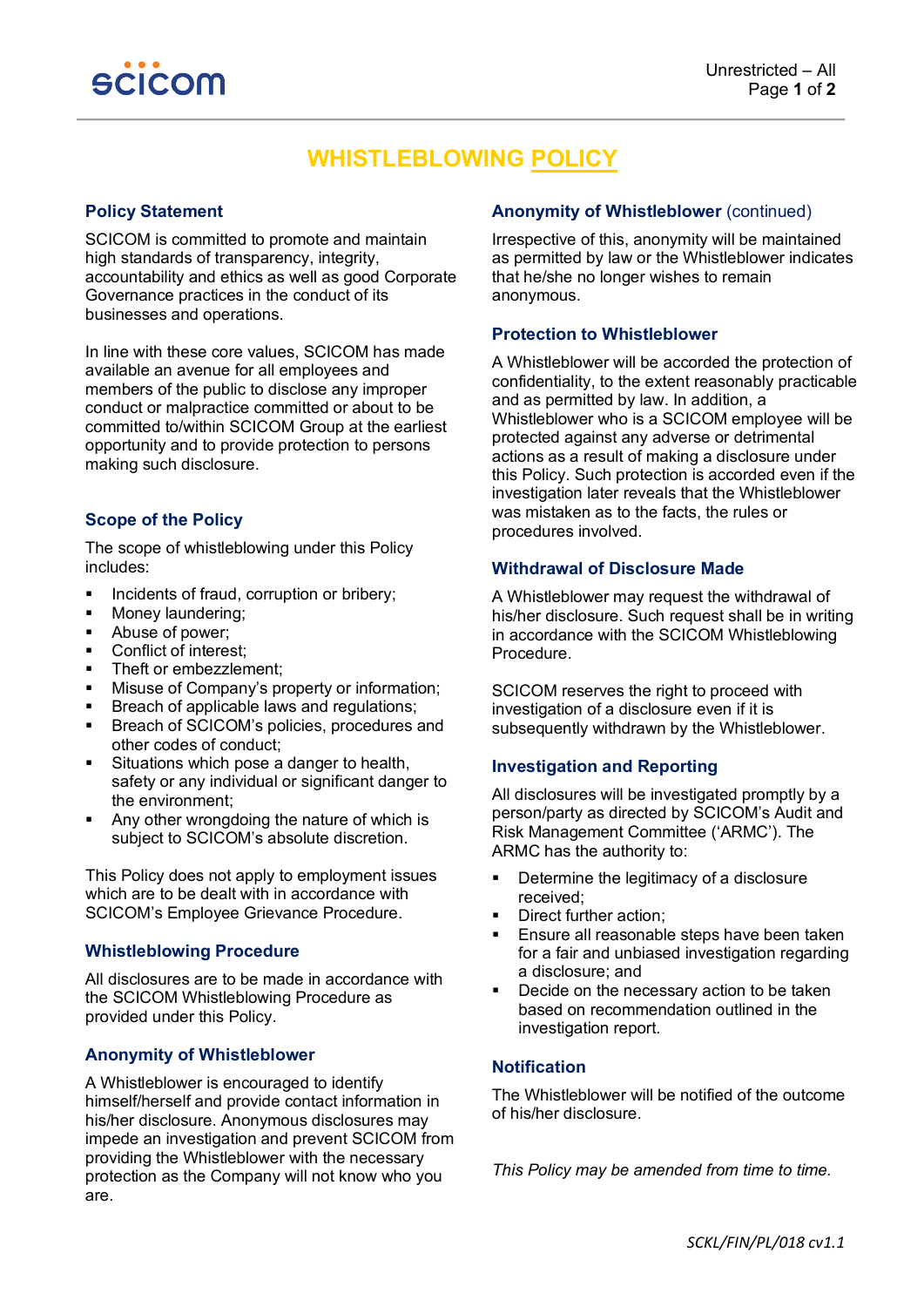

# **WHISTLEBLOWING POLICY**

## **Policy Statement**

SCICOM is committed to promote and maintain high standards of transparency, integrity, accountability and ethics as well as good Corporate Governance practices in the conduct of its businesses and operations.

In line with these core values, SCICOM has made available an avenue for all employees and members of the public to disclose any improper conduct or malpractice committed or about to be committed to/within SCICOM Group at the earliest opportunity and to provide protection to persons making such disclosure.

### **Scope of the Policy**

The scope of whistleblowing under this Policy includes:

- **Incidents of fraud, corruption or bribery;**
- **Money laundering;**
- Abuse of power;
- Conflict of interest;
- Theft or embezzlement;
- **Misuse of Company's property or information;**
- Breach of applicable laws and regulations;
- **Breach of SCICOM's policies, procedures and** other codes of conduct;
- Situations which pose a danger to health, safety or any individual or significant danger to the environment;
- Any other wrongdoing the nature of which is subject to SCICOM's absolute discretion.

This Policy does not apply to employment issues which are to be dealt with in accordance with SCICOM's Employee Grievance Procedure.

## **Whistleblowing Procedure**

All disclosures are to be made in accordance with the SCICOM Whistleblowing Procedure as provided under this Policy.

## **Anonymity of Whistleblower**

A Whistleblower is encouraged to identify himself/herself and provide contact information in his/her disclosure. Anonymous disclosures may impede an investigation and prevent SCICOM from providing the Whistleblower with the necessary protection as the Company will not know who you are.

## **Anonymity of Whistleblower** (continued)

Irrespective of this, anonymity will be maintained as permitted by law or the Whistleblower indicates that he/she no longer wishes to remain anonymous.

## **Protection to Whistleblower**

A Whistleblower will be accorded the protection of confidentiality, to the extent reasonably practicable and as permitted by law. In addition, a Whistleblower who is a SCICOM employee will be protected against any adverse or detrimental actions as a result of making a disclosure under this Policy. Such protection is accorded even if the investigation later reveals that the Whistleblower was mistaken as to the facts, the rules or procedures involved.

## **Withdrawal of Disclosure Made**

A Whistleblower may request the withdrawal of his/her disclosure. Such request shall be in writing in accordance with the SCICOM Whistleblowing Procedure.

SCICOM reserves the right to proceed with investigation of a disclosure even if it is subsequently withdrawn by the Whistleblower.

## **Investigation and Reporting**

All disclosures will be investigated promptly by a person/party as directed by SCICOM's Audit and Risk Management Committee ('ARMC'). The ARMC has the authority to:

- **•** Determine the legitimacy of a disclosure received;
- Direct further action;
- **Ensure all reasonable steps have been taken** for a fair and unbiased investigation regarding a disclosure; and
- Decide on the necessary action to be taken based on recommendation outlined in the investigation report.

## **Notification**

The Whistleblower will be notified of the outcome of his/her disclosure.

*This Policy may be amended from time to time.*